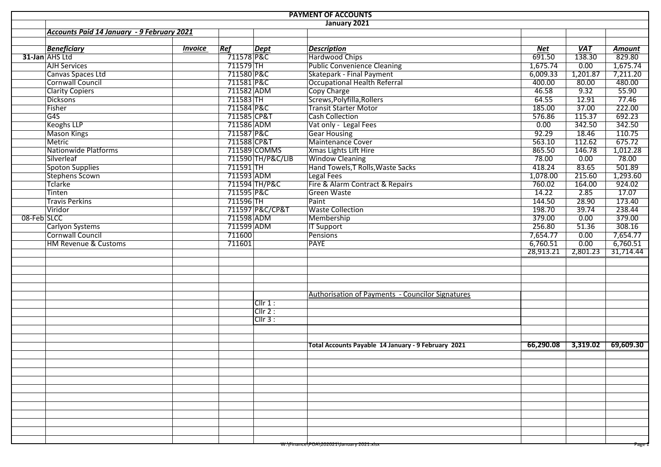|                                            |                |             |                   | <b>PAYMENT OF ACCOUNTS</b>                          |            |            |           |
|--------------------------------------------|----------------|-------------|-------------------|-----------------------------------------------------|------------|------------|-----------|
|                                            |                |             |                   | January 2021                                        |            |            |           |
| Accounts Paid 14 January - 9 February 2021 |                |             |                   |                                                     |            |            |           |
|                                            |                |             |                   |                                                     |            |            |           |
| <b>Beneficiary</b>                         | <b>Invoice</b> | Ref         | <b>Dept</b>       | <b>Description</b>                                  | <b>Net</b> | <b>VAT</b> | Amount    |
| 31-Jan AHS Ltd                             |                | 711578 P&C  |                   | Hardwood Chips                                      | 691.50     | 138.30     | 829.80    |
| <b>AJH Services</b>                        |                | $711579$ TH |                   | <b>Public Convenience Cleaning</b>                  | 1,675.74   | 0.00       | 1,675.74  |
| Canvas Spaces Ltd                          |                | 711580 P&C  |                   | Skatepark - Final Payment                           | 6,009.33   | 1,201.87   | 7,211.20  |
| <b>Cornwall Council</b>                    |                | 711581 P&C  |                   | <b>Occupational Health Referral</b>                 | 400.00     | 80.00      | 480.00    |
| <b>Clarity Copiers</b>                     |                | 711582 ADM  |                   | Copy Charge                                         | 46.58      | 9.32       | 55.90     |
| <b>Dicksons</b>                            |                | 711583 TH   |                   | Screws, Polyfilla, Rollers                          | 64.55      | 12.91      | 77.46     |
| Fisher                                     |                | 711584 P&C  |                   | <b>Transit Starter Motor</b>                        | 185.00     | 37.00      | 222.00    |
| G4S                                        |                | 711585 CP&T |                   | <b>Cash Collection</b>                              | 576.86     | 115.37     | 692.23    |
| <b>Keoghs LLP</b>                          |                | 711586 ADM  |                   | Vat only - Legal Fees                               | 0.00       | 342.50     | 342.50    |
| <b>Mason Kings</b>                         |                | 711587 P&C  |                   | <b>Gear Housing</b>                                 | 92.29      | 18.46      | 110.75    |
| Metric                                     |                | 711588 CP&T |                   | Maintenance Cover                                   | 563.10     | 112.62     | 675.72    |
| <b>Nationwide Platforms</b>                |                |             | 711589 COMMS      | Xmas Lights Lift Hire                               | 865.50     | 146.78     | 1,012.28  |
| Silverleaf                                 |                |             | 711590 TH/P&C/LIB | <b>Window Cleaning</b>                              | 78.00      | 0.00       | 78.00     |
| Spoton Supplies                            |                | $711591$ TH |                   | Hand Towels, T Rolls, Waste Sacks                   | 418.24     | 83.65      | 501.89    |
| <b>Stephens Scown</b>                      |                | 711593 ADM  |                   | Legal Fees                                          | 1,078.00   | 215.60     | 1,293.60  |
| Tclarke                                    |                |             | 711594 TH/P&C     | Fire & Alarm Contract & Repairs                     | 760.02     | 164.00     | 924.02    |
| Tinten                                     |                | 711595 P&C  |                   | <b>Green Waste</b>                                  | 14.22      | 2.85       | 17.07     |
| <b>Travis Perkins</b>                      |                | 711596 TH   |                   | Paint                                               | 144.50     | 28.90      | 173.40    |
| Viridor                                    |                |             | 711597 P&C/CP&T   | <b>Waste Collection</b>                             | 198.70     | 39.74      | 238.44    |
| 08-Feb SLCC                                |                | 711598 ADM  |                   | Membership                                          | 379.00     | 0.00       | 379.00    |
| <b>Carlyon Systems</b>                     |                | 711599 ADM  |                   | <b>IT Support</b>                                   | 256.80     | 51.36      | 308.16    |
| <b>Cornwall Council</b>                    |                | 711600      |                   | <b>Pensions</b>                                     | 7,654.77   | 0.00       | 7,654.77  |
| <b>HM Revenue &amp; Customs</b>            |                | 711601      |                   | <b>PAYE</b>                                         | 6,760.51   | 0.00       | 6,760.51  |
|                                            |                |             |                   |                                                     | 28,913.21  | 2,801.23   | 31,714.44 |
|                                            |                |             |                   |                                                     |            |            |           |
|                                            |                |             |                   |                                                     |            |            |           |
|                                            |                |             |                   |                                                     |            |            |           |
|                                            |                |             |                   |                                                     |            |            |           |
|                                            |                |             |                   | Authorisation of Payments - Councilor Signatures    |            |            |           |
|                                            |                |             | Cllr 1:           |                                                     |            |            |           |
|                                            |                |             | Clir 2:           |                                                     |            |            |           |
|                                            |                |             | Clir 3:           |                                                     |            |            |           |
|                                            |                |             |                   |                                                     |            |            |           |
|                                            |                |             |                   |                                                     |            |            |           |
|                                            |                |             |                   | Total Accounts Payable 14 January - 9 February 2021 | 66,290.08  | 3,319.02   | 69,609.30 |
|                                            |                |             |                   |                                                     |            |            |           |
|                                            |                |             |                   |                                                     |            |            |           |
|                                            |                |             |                   |                                                     |            |            |           |
|                                            |                |             |                   |                                                     |            |            |           |
|                                            |                |             |                   |                                                     |            |            |           |
|                                            |                |             |                   |                                                     |            |            |           |
|                                            |                |             |                   |                                                     |            |            |           |
|                                            |                |             |                   |                                                     |            |            |           |
|                                            |                |             |                   |                                                     |            |            |           |
|                                            |                |             |                   |                                                     |            |            |           |
|                                            |                |             |                   |                                                     |            |            |           |
|                                            |                |             |                   | W:\Finance\POA\202021\January 2021.xisx             |            |            | rage.     |